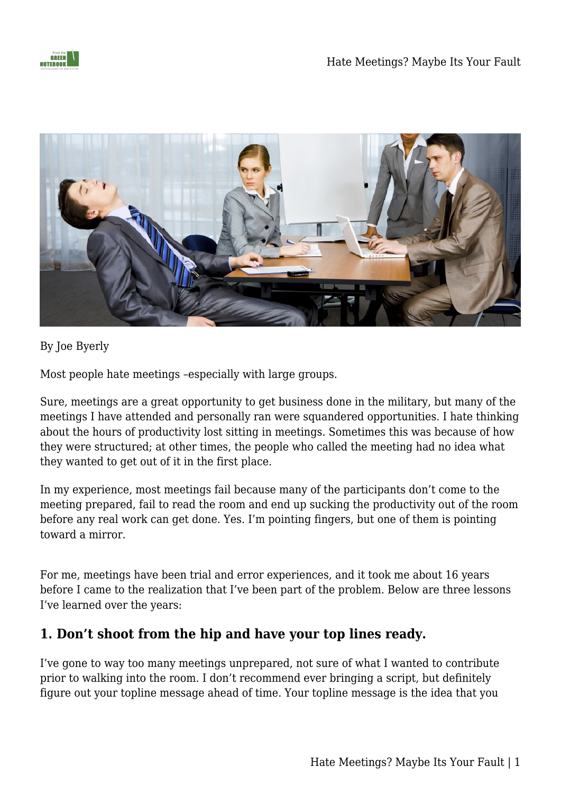



By Joe Byerly

Most people hate meetings –especially with large groups.

Sure, meetings are a great opportunity to get business done in the military, but many of the meetings I have attended and personally ran were squandered opportunities. I hate thinking about the hours of productivity lost sitting in meetings. Sometimes this was because of how they were structured; at other times, the people who called the meeting had no idea what they wanted to get out of it in the first place.

In my experience, most meetings fail because many of the participants don't come to the meeting prepared, fail to read the room and end up sucking the productivity out of the room before any real work can get done. Yes. I'm pointing fingers, but one of them is pointing toward a mirror.

For me, meetings have been trial and error experiences, and it took me about 16 years before I came to the realization that I've been part of the problem. Below are three lessons I've learned over the years:

## **1. Don't shoot from the hip and have your top lines ready.**

I've gone to way too many meetings unprepared, not sure of what I wanted to contribute prior to walking into the room. I don't recommend ever bringing a script, but definitely figure out your topline message ahead of time. Your topline message is the idea that you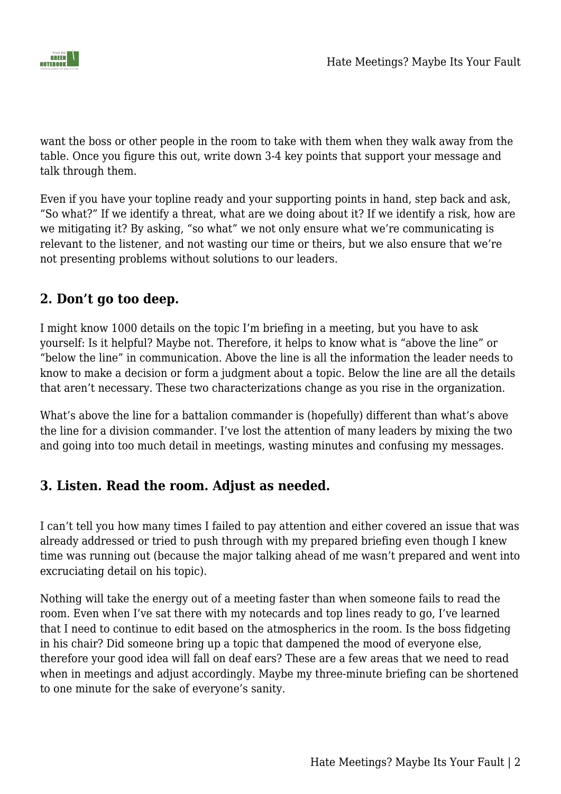

want the boss or other people in the room to take with them when they walk away from the table. Once you figure this out, write down 3-4 key points that support your message and talk through them.

Even if you have your topline ready and your supporting points in hand, step back and ask, "So what?" If we identify a threat, what are we doing about it? If we identify a risk, how are we mitigating it? By asking, "so what" we not only ensure what we're communicating is relevant to the listener, and not wasting our time or theirs, but we also ensure that we're not presenting problems without solutions to our leaders.

## **2. Don't go too deep.**

I might know 1000 details on the topic I'm briefing in a meeting, but you have to ask yourself: Is it helpful? Maybe not. Therefore, it helps to know what is "above the line" or "below the line" in communication. Above the line is all the information the leader needs to know to make a decision or form a judgment about a topic. Below the line are all the details that aren't necessary. These two characterizations change as you rise in the organization.

What's above the line for a battalion commander is (hopefully) different than what's above the line for a division commander. I've lost the attention of many leaders by mixing the two and going into too much detail in meetings, wasting minutes and confusing my messages.

## **3. Listen. Read the room. Adjust as needed.**

I can't tell you how many times I failed to pay attention and either covered an issue that was already addressed or tried to push through with my prepared briefing even though I knew time was running out (because the major talking ahead of me wasn't prepared and went into excruciating detail on his topic).

Nothing will take the energy out of a meeting faster than when someone fails to read the room. Even when I've sat there with my notecards and top lines ready to go, I've learned that I need to continue to edit based on the atmospherics in the room. Is the boss fidgeting in his chair? Did someone bring up a topic that dampened the mood of everyone else, therefore your good idea will fall on deaf ears? These are a few areas that we need to read when in meetings and adjust accordingly. Maybe my three-minute briefing can be shortened to one minute for the sake of everyone's sanity.